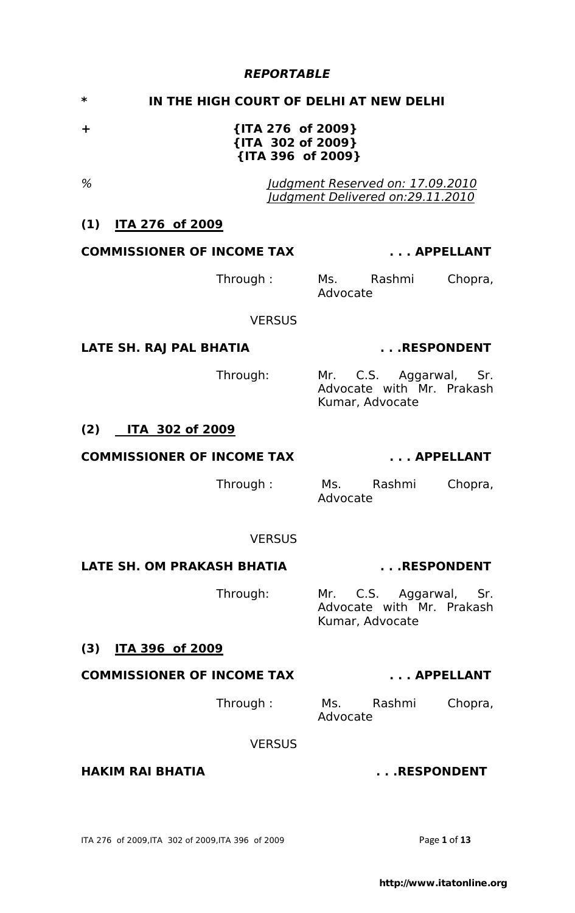## *REPORTABLE*

# **\* IN THE HIGH COURT OF DELHI AT NEW DELHI**

**+ {ITA 276 of 2009} {ITA 302 of 2009} {ITA 396 of 2009}** 

*% Judgment Reserved on: 17.09.2010 Judgment Delivered on:29.11.2010*

## **(1) ITA 276 of 2009**

### **COMMISSIONER OF INCOME TAX . . . APPELLANT**

Through : Ms. Rashmi Chopra, Advocate

#### **VERSUS**

### **LATE SH. RAJ PAL BHATIA . . .RESPONDENT**

Through: Mr. C.S. Aggarwal, Sr. Advocate with Mr. Prakash Kumar, Advocate

# **(2) ITA 302 of 2009**

#### **COMMISSIONER OF INCOME TAX . . . APPELLANT**

Through : Ms. Rashmi Chopra, Advocate

#### **VERSUS**

### LATE SH. OM PRAKASH BHATIA **... .RESPONDENT**

Through: Mr. C.S. Aggarwal, Sr. Advocate with Mr. Prakash Kumar, Advocate

# **(3) ITA 396 of 2009**

# **COMMISSIONER OF INCOME TAX . . . APPELLANT**

Through : Ms. Rashmi Chopra, Advocate

#### **VERSUS**

### **HAKIM RAI BHATIA ... .RESPONDENT**

ITA 276 of 2009,ITA 302 of 2009,ITA 396 of 2009 Page **1** of **13**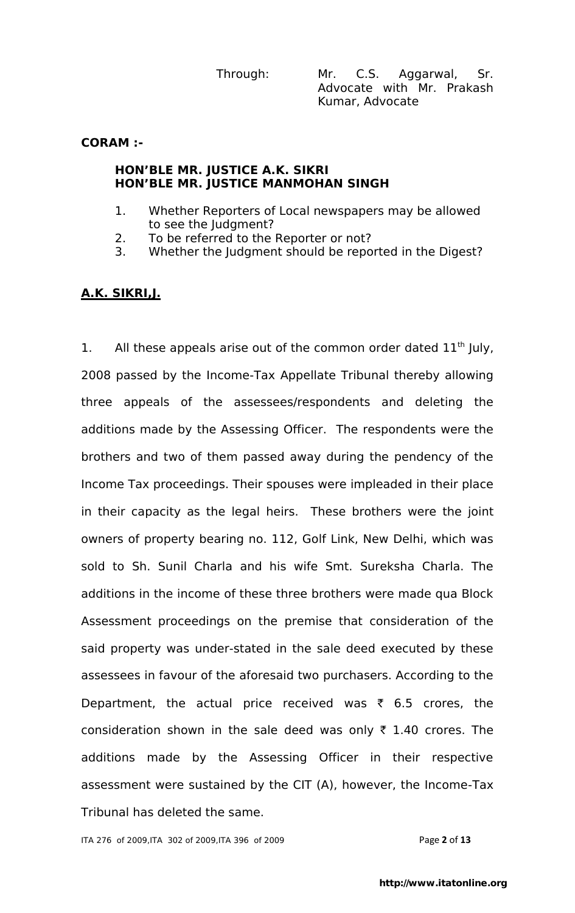Through: Mr. C.S. Aggarwal, Sr. Advocate with Mr. Prakash Kumar, Advocate

**CORAM :-** 

#### **HON'BLE MR. JUSTICE A.K. SIKRI HON'BLE MR. JUSTICE MANMOHAN SINGH**

- 1. Whether Reporters of Local newspapers may be allowed to see the Judgment?
- 2. To be referred to the Reporter or not?
- 3. Whether the Judgment should be reported in the Digest?

# **A.K. SIKRI,J.**

1. All these appeals arise out of the common order dated  $11<sup>th</sup>$  July, 2008 passed by the Income-Tax Appellate Tribunal thereby allowing three appeals of the assessees/respondents and deleting the additions made by the Assessing Officer. The respondents were the brothers and two of them passed away during the pendency of the Income Tax proceedings. Their spouses were impleaded in their place in their capacity as the legal heirs. These brothers were the joint owners of property bearing no. 112, Golf Link, New Delhi, which was sold to Sh. Sunil Charla and his wife Smt. Sureksha Charla. The additions in the income of these three brothers were made qua Block Assessment proceedings on the premise that consideration of the said property was under-stated in the sale deed executed by these assessees in favour of the aforesaid two purchasers. According to the Department, the actual price received was  $\bar{\tau}$  6.5 crores, the consideration shown in the sale deed was only  $\bar{\tau}$  1.40 crores. The additions made by the Assessing Officer in their respective assessment were sustained by the CIT (A), however, the Income-Tax Tribunal has deleted the same.

ITA 276 of 2009,ITA 302 of 2009,ITA 396 of 2009 Page **2** of **13**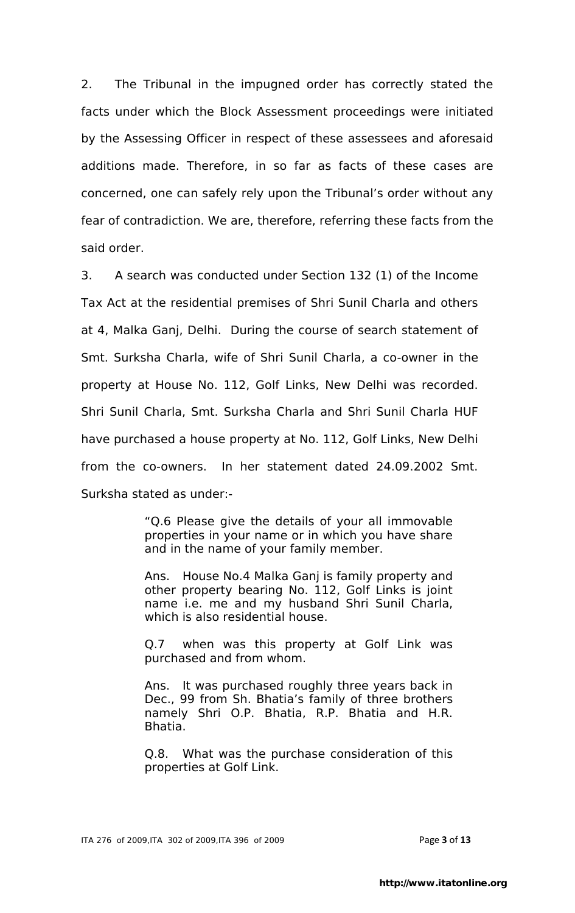2. The Tribunal in the impugned order has correctly stated the facts under which the Block Assessment proceedings were initiated by the Assessing Officer in respect of these assessees and aforesaid additions made. Therefore, in so far as facts of these cases are concerned, one can safely rely upon the Tribunal"s order without any fear of contradiction. We are, therefore, referring these facts from the said order.

3. A search was conducted under Section 132 (1) of the Income Tax Act at the residential premises of Shri Sunil Charla and others at 4, Malka Ganj, Delhi. During the course of search statement of Smt. Surksha Charla, wife of Shri Sunil Charla, a co-owner in the property at House No. 112, Golf Links, New Delhi was recorded. Shri Sunil Charla, Smt. Surksha Charla and Shri Sunil Charla HUF have purchased a house property at No. 112, Golf Links, New Delhi from the co-owners. In her statement dated 24.09.2002 Smt. Surksha stated as under:-

> "Q.6 Please give the details of your all immovable properties in your name or in which you have share and in the name of your family member.

> Ans. House No.4 Malka Ganj is family property and other property bearing No. 112, Golf Links is joint name i.e. me and my husband Shri Sunil Charla, which is also residential house.

> Q.7 when was this property at Golf Link was purchased and from whom.

> Ans. It was purchased roughly three years back in Dec., 99 from Sh. Bhatia's family of three brothers namely Shri O.P. Bhatia, R.P. Bhatia and H.R. Bhatia.

> Q.8. What was the purchase consideration of this properties at Golf Link.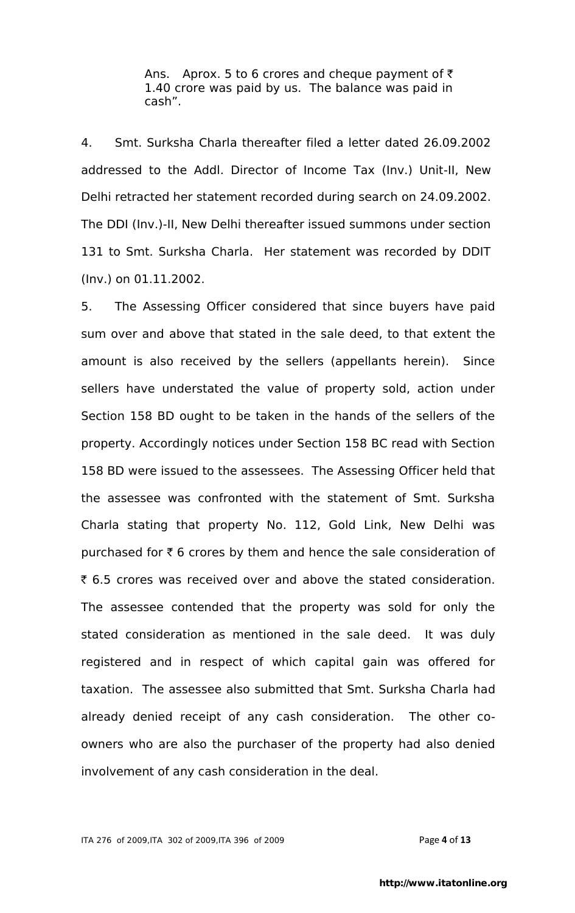Ans. Aprox. 5 to 6 crores and cheque payment of  $\bar{z}$ 1.40 crore was paid by us. The balance was paid in cash".

4. Smt. Surksha Charla thereafter filed a letter dated 26.09.2002 addressed to the Addl. Director of Income Tax (Inv.) Unit-II, New Delhi retracted her statement recorded during search on 24.09.2002. The DDI (Inv.)-II, New Delhi thereafter issued summons under section 131 to Smt. Surksha Charla. Her statement was recorded by DDIT (Inv.) on 01.11.2002.

5. The Assessing Officer considered that since buyers have paid sum over and above that stated in the sale deed, to that extent the amount is also received by the sellers (appellants herein). Since sellers have understated the value of property sold, action under Section 158 BD ought to be taken in the hands of the sellers of the property. Accordingly notices under Section 158 BC read with Section 158 BD were issued to the assessees. The Assessing Officer held that the assessee was confronted with the statement of Smt. Surksha Charla stating that property No. 112, Gold Link, New Delhi was purchased for  $\bar{\tau}$  6 crores by them and hence the sale consideration of ₹ 6.5 crores was received over and above the stated consideration. The assessee contended that the property was sold for only the stated consideration as mentioned in the sale deed. It was duly registered and in respect of which capital gain was offered for taxation. The assessee also submitted that Smt. Surksha Charla had already denied receipt of any cash consideration. The other coowners who are also the purchaser of the property had also denied involvement of any cash consideration in the deal.

ITA 276 of 2009,ITA 302 of 2009,ITA 396 of 2009 Page **4** of **13**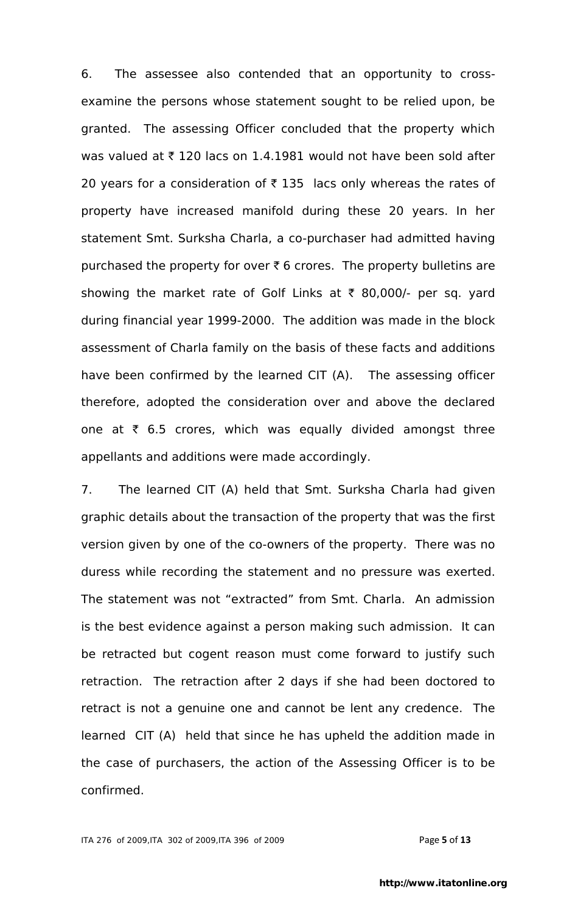6. The assessee also contended that an opportunity to crossexamine the persons whose statement sought to be relied upon, be granted. The assessing Officer concluded that the property which was valued at  $\bar{\tau}$  120 lacs on 1.4.1981 would not have been sold after 20 years for a consideration of  $\bar{\tau}$  135 lacs only whereas the rates of property have increased manifold during these 20 years. In her statement Smt. Surksha Charla, a co-purchaser had admitted having purchased the property for over  $\bar{\tau}$  6 crores. The property bulletins are showing the market rate of Golf Links at  $\bar{\tau}$  80,000/- per sq. yard during financial year 1999-2000. The addition was made in the block assessment of Charla family on the basis of these facts and additions have been confirmed by the learned CIT (A). The assessing officer therefore, adopted the consideration over and above the declared one at  $\bar{\tau}$  6.5 crores, which was equally divided amongst three appellants and additions were made accordingly.

7. The learned CIT (A) held that Smt. Surksha Charla had given graphic details about the transaction of the property that was the first version given by one of the co-owners of the property. There was no duress while recording the statement and no pressure was exerted. The statement was not "extracted" from Smt. Charla. An admission is the best evidence against a person making such admission. It can be retracted but cogent reason must come forward to justify such retraction. The retraction after 2 days if she had been doctored to retract is not a genuine one and cannot be lent any credence. The learned CIT (A) held that since he has upheld the addition made in the case of purchasers, the action of the Assessing Officer is to be confirmed.

ITA 276 of 2009,ITA 302 of 2009,ITA 396 of 2009 Page **5** of **13**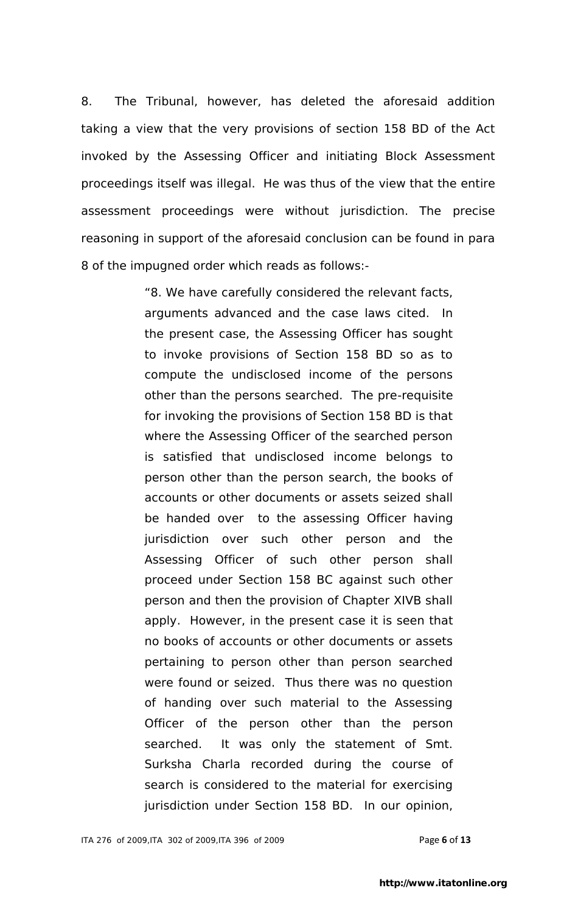8. The Tribunal, however, has deleted the aforesaid addition taking a view that the very provisions of section 158 BD of the Act invoked by the Assessing Officer and initiating Block Assessment proceedings itself was illegal. He was thus of the view that the entire assessment proceedings were without jurisdiction. The precise reasoning in support of the aforesaid conclusion can be found in para 8 of the impugned order which reads as follows:-

> "8. We have carefully considered the relevant facts, arguments advanced and the case laws cited. In the present case, the Assessing Officer has sought to invoke provisions of Section 158 BD so as to compute the undisclosed income of the persons other than the persons searched. The pre-requisite for invoking the provisions of Section 158 BD is that where the Assessing Officer of the searched person is satisfied that undisclosed income belongs to person other than the person search, the books of accounts or other documents or assets seized shall be handed over to the assessing Officer having jurisdiction over such other person and the Assessing Officer of such other person shall proceed under Section 158 BC against such other person and then the provision of Chapter XIVB shall apply. However, in the present case it is seen that no books of accounts or other documents or assets pertaining to person other than person searched were found or seized. Thus there was no question of handing over such material to the Assessing Officer of the person other than the person searched. It was only the statement of Smt. Surksha Charla recorded during the course of search is considered to the material for exercising jurisdiction under Section 158 BD. In our opinion,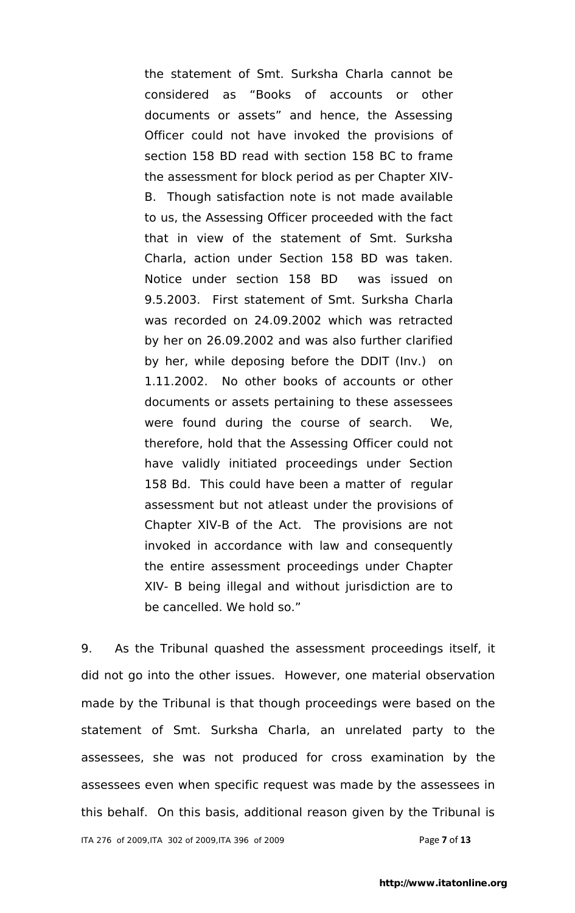the statement of Smt. Surksha Charla cannot be considered as "Books of accounts or other documents or assets" and hence, the Assessing Officer could not have invoked the provisions of section 158 BD read with section 158 BC to frame the assessment for block period as per Chapter XIV-B. Though satisfaction note is not made available to us, the Assessing Officer proceeded with the fact that in view of the statement of Smt. Surksha Charla, action under Section 158 BD was taken. Notice under section 158 BD was issued on 9.5.2003. First statement of Smt. Surksha Charla was recorded on 24.09.2002 which was retracted by her on 26.09.2002 and was also further clarified by her, while deposing before the DDIT (Inv.) on 1.11.2002. No other books of accounts or other documents or assets pertaining to these assessees were found during the course of search. We, therefore, hold that the Assessing Officer could not have validly initiated proceedings under Section 158 Bd. This could have been a matter of regular assessment but not atleast under the provisions of Chapter XIV-B of the Act. The provisions are not invoked in accordance with law and consequently the entire assessment proceedings under Chapter XIV- B being illegal and without jurisdiction are to be cancelled. We hold so."

9. As the Tribunal quashed the assessment proceedings itself, it did not go into the other issues. However, one material observation made by the Tribunal is that though proceedings were based on the statement of Smt. Surksha Charla, an unrelated party to the assessees, she was not produced for cross examination by the assessees even when specific request was made by the assessees in this behalf. On this basis, additional reason given by the Tribunal is

ITA 276 of 2009,ITA 302 of 2009,ITA 396 of 2009 Page **7** of **13**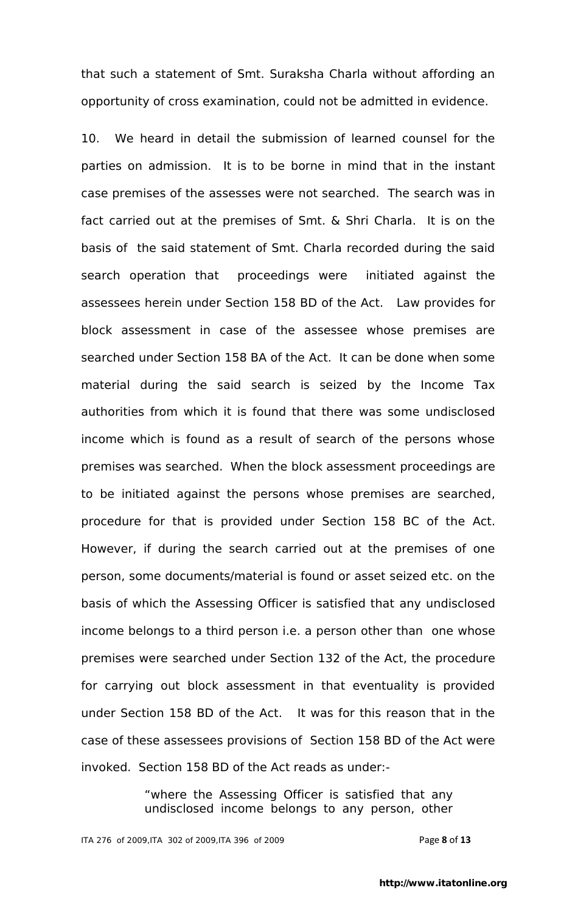that such a statement of Smt. Suraksha Charla without affording an opportunity of cross examination, could not be admitted in evidence.

10. We heard in detail the submission of learned counsel for the parties on admission. It is to be borne in mind that in the instant case premises of the assesses were not searched. The search was in fact carried out at the premises of Smt. & Shri Charla. It is on the basis of the said statement of Smt. Charla recorded during the said search operation that proceedings were initiated against the assessees herein under Section 158 BD of the Act. Law provides for block assessment in case of the assessee whose premises are searched under Section 158 BA of the Act. It can be done when some material during the said search is seized by the Income Tax authorities from which it is found that there was some undisclosed income which is found as a result of search of the persons whose premises was searched. When the block assessment proceedings are to be initiated against the persons whose premises are searched, procedure for that is provided under Section 158 BC of the Act. However, if during the search carried out at the premises of one person, some documents/material is found or asset seized etc. on the basis of which the Assessing Officer is satisfied that any undisclosed income belongs to a third person i.e. a person other than one whose premises were searched under Section 132 of the Act, the procedure for carrying out block assessment in that eventuality is provided under Section 158 BD of the Act. It was for this reason that in the case of these assessees provisions of Section 158 BD of the Act were invoked. Section 158 BD of the Act reads as under:-

> "where the Assessing Officer is satisfied that any undisclosed income belongs to any person, other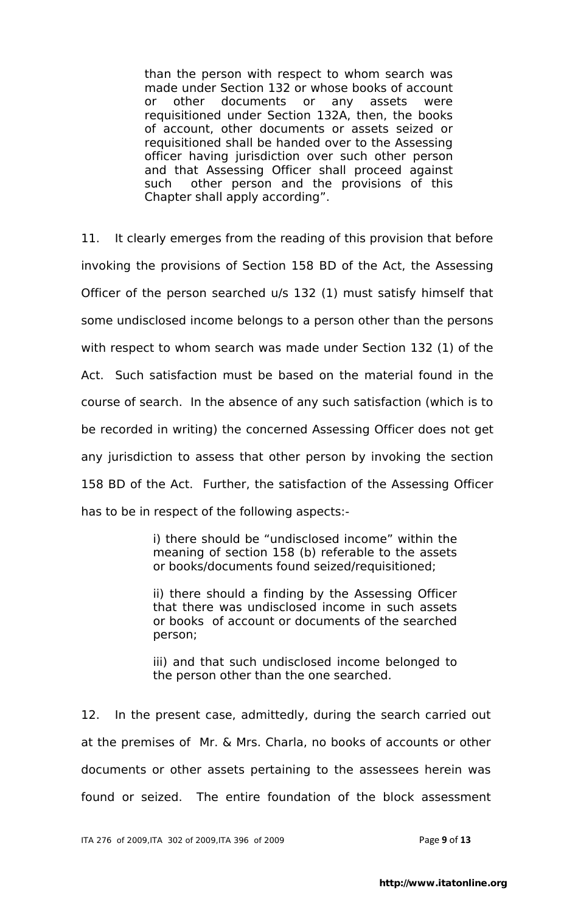than the person with respect to whom search was made under Section 132 or whose books of account or other documents or any assets were requisitioned under Section 132A, then, the books of account, other documents or assets seized or requisitioned shall be handed over to the Assessing officer having jurisdiction over such other person and that Assessing Officer shall proceed against such other person and the provisions of this Chapter shall apply according".

11. It clearly emerges from the reading of this provision that before invoking the provisions of Section 158 BD of the Act, the Assessing Officer of the person searched u/s 132 (1) must satisfy himself that some undisclosed income belongs to a person other than the persons with respect to whom search was made under Section 132 (1) of the Act. Such satisfaction must be based on the material found in the course of search. In the absence of any such satisfaction (which is to be recorded in writing) the concerned Assessing Officer does not get any jurisdiction to assess that other person by invoking the section 158 BD of the Act. Further, the satisfaction of the Assessing Officer has to be in respect of the following aspects:-

> i) there should be "undisclosed income" within the meaning of section 158 (b) referable to the assets or books/documents found seized/requisitioned;

> ii) there should a finding by the Assessing Officer that there was undisclosed income in such assets or books of account or documents of the searched person;

> iii) and that such undisclosed income belonged to the person other than the one searched.

12. In the present case, admittedly, during the search carried out at the premises of Mr. & Mrs. Charla, no books of accounts or other documents or other assets pertaining to the assessees herein was found or seized. The entire foundation of the block assessment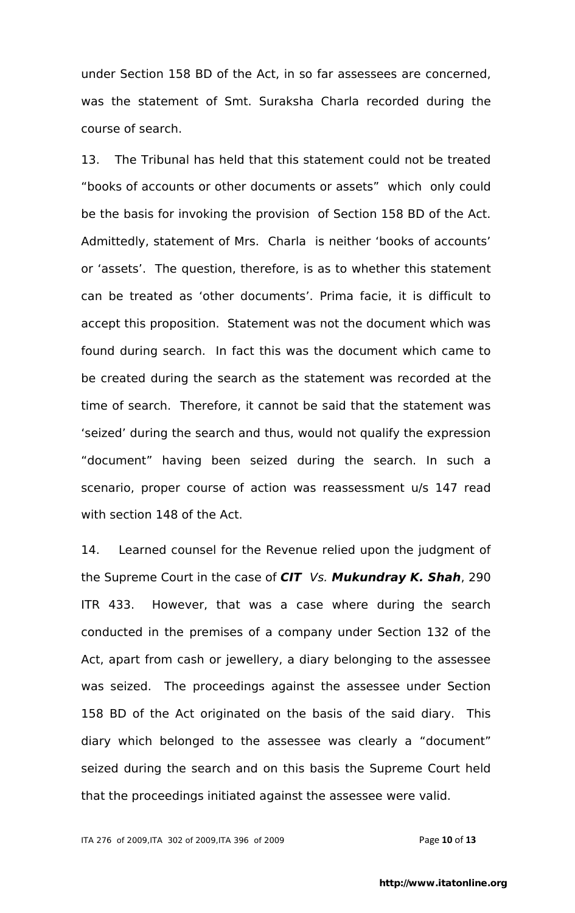under Section 158 BD of the Act, in so far assessees are concerned, was the statement of Smt. Suraksha Charla recorded during the course of search.

13. The Tribunal has held that this statement could not be treated "books of accounts or other documents or assets" which only could be the basis for invoking the provision of Section 158 BD of the Act. Admittedly, statement of Mrs. Charla is neither "books of accounts" or "assets". The question, therefore, is as to whether this statement can be treated as "other documents". Prima facie, it is difficult to accept this proposition. Statement was not the document which was found during search. In fact this was the document which came to be created during the search as the statement was recorded at the time of search. Therefore, it cannot be said that the statement was "seized" during the search and thus, would not qualify the expression "document" having been seized during the search. In such a scenario, proper course of action was reassessment u/s 147 read with section 148 of the Act.

14. Learned counsel for the Revenue relied upon the judgment of the Supreme Court in the case of *CIT Vs. Mukundray K. Shah*, 290 ITR 433. However, that was a case where during the search conducted in the premises of a company under Section 132 of the Act, apart from cash or jewellery, a diary belonging to the assessee was seized. The proceedings against the assessee under Section 158 BD of the Act originated on the basis of the said diary. This diary which belonged to the assessee was clearly a "document" seized during the search and on this basis the Supreme Court held that the proceedings initiated against the assessee were valid.

ITA 276 of 2009,ITA 302 of 2009,ITA 396 of 2009 Page **10** of **13**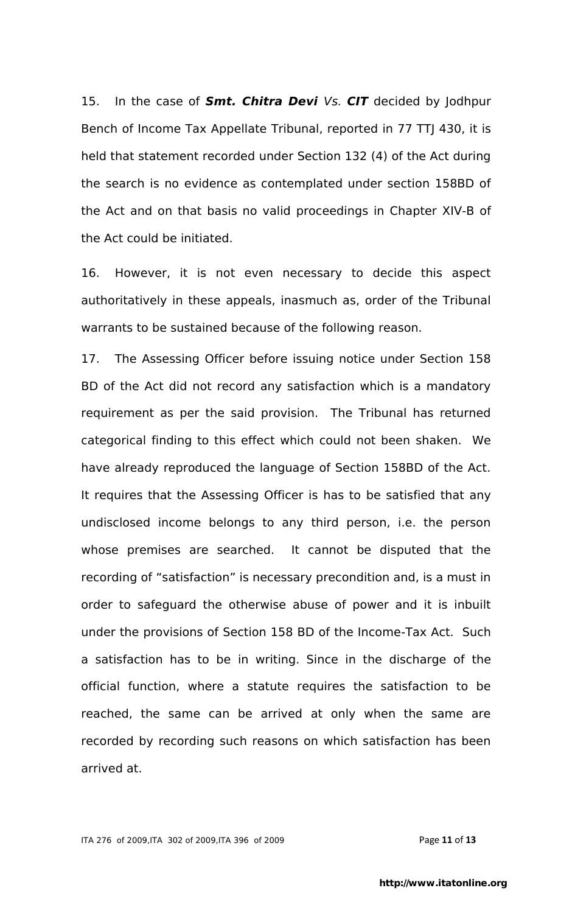15. In the case of *Smt. Chitra Devi Vs. CIT* decided by Jodhpur Bench of Income Tax Appellate Tribunal, reported in 77 TTJ 430, it is held that statement recorded under Section 132 (4) of the Act during the search is no evidence as contemplated under section 158BD of the Act and on that basis no valid proceedings in Chapter XIV-B of the Act could be initiated.

16. However, it is not even necessary to decide this aspect authoritatively in these appeals, inasmuch as, order of the Tribunal warrants to be sustained because of the following reason.

17. The Assessing Officer before issuing notice under Section 158 BD of the Act did not record any satisfaction which is a mandatory requirement as per the said provision. The Tribunal has returned categorical finding to this effect which could not been shaken. We have already reproduced the language of Section 158BD of the Act. It requires that the Assessing Officer is has to be satisfied that any undisclosed income belongs to any third person, i.e. the person whose premises are searched. It cannot be disputed that the recording of "satisfaction" is necessary precondition and, is a must in order to safeguard the otherwise abuse of power and it is inbuilt under the provisions of Section 158 BD of the Income-Tax Act. Such a satisfaction has to be in writing. Since in the discharge of the official function, where a statute requires the satisfaction to be reached, the same can be arrived at only when the same are recorded by recording such reasons on which satisfaction has been arrived at.

ITA 276 of 2009,ITA 302 of 2009,ITA 396 of 2009 Page **11** of **13**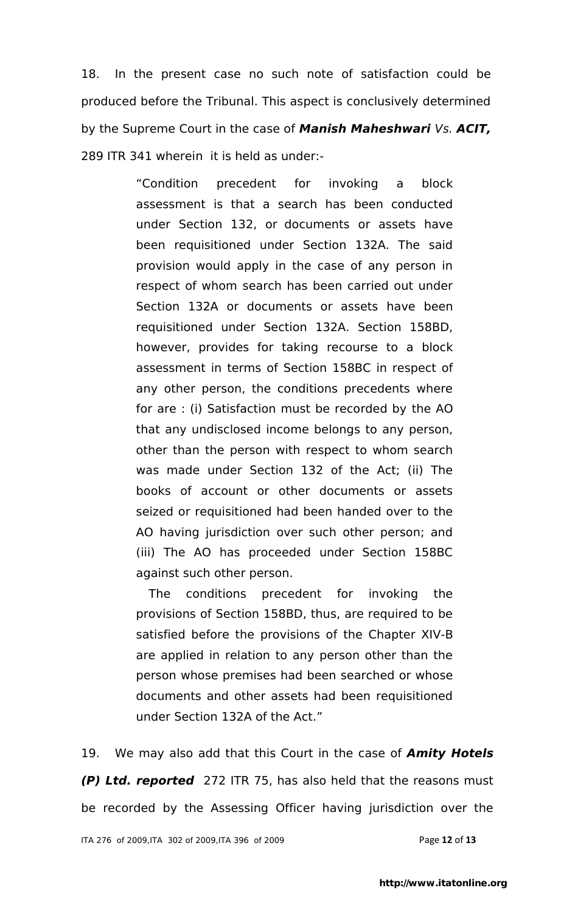18. In the present case no such note of satisfaction could be produced before the Tribunal. This aspect is conclusively determined by the Supreme Court in the case of *Manish Maheshwari Vs. ACIT,*  289 ITR 341 wherein it is held as under:-

> "Condition precedent for invoking a block assessment is that a search has been conducted under Section 132, or documents or assets have been requisitioned under Section 132A. The said provision would apply in the case of any person in respect of whom search has been carried out under Section 132A or documents or assets have been requisitioned under Section 132A. Section 158BD, however, provides for taking recourse to a block assessment in terms of Section 158BC in respect of any other person, the conditions precedents where for are : (i) Satisfaction must be recorded by the AO that any undisclosed income belongs to any person, other than the person with respect to whom search was made under Section 132 of the Act; (ii) The books of account or other documents or assets seized or requisitioned had been handed over to the AO having jurisdiction over such other person; and (iii) The AO has proceeded under Section 158BC against such other person.

> The conditions precedent for invoking the provisions of Section 158BD, thus, are required to be satisfied before the provisions of the Chapter XIV-B are applied in relation to any person other than the person whose premises had been searched or whose documents and other assets had been requisitioned under Section 132A of the Act."

19. We may also add that this Court in the case of *Amity Hotels (P) Ltd. reported* 272 ITR 75, has also held that the reasons must be recorded by the Assessing Officer having jurisdiction over the